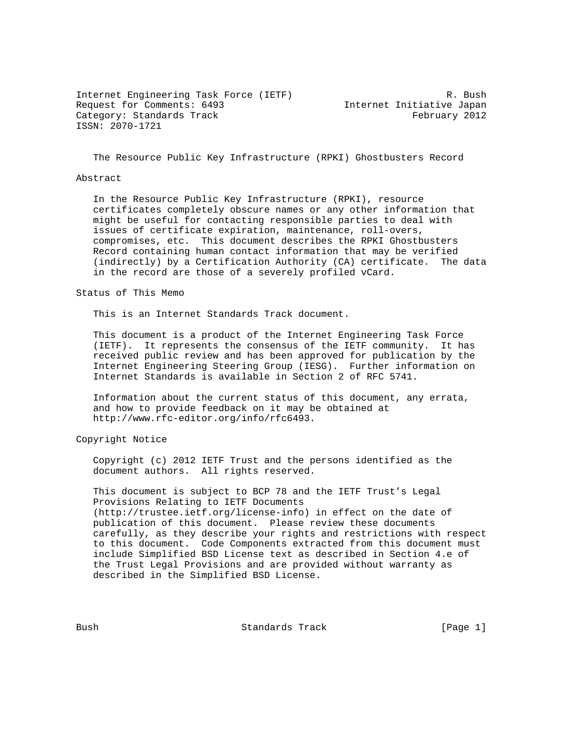Internet Engineering Task Force (IETF) R. Bush Request for Comments: 6493 Internet Initiative Japan Category: Standards Track February 2012 ISSN: 2070-1721

The Resource Public Key Infrastructure (RPKI) Ghostbusters Record

### Abstract

 In the Resource Public Key Infrastructure (RPKI), resource certificates completely obscure names or any other information that might be useful for contacting responsible parties to deal with issues of certificate expiration, maintenance, roll-overs, compromises, etc. This document describes the RPKI Ghostbusters Record containing human contact information that may be verified (indirectly) by a Certification Authority (CA) certificate. The data in the record are those of a severely profiled vCard.

## Status of This Memo

This is an Internet Standards Track document.

 This document is a product of the Internet Engineering Task Force (IETF). It represents the consensus of the IETF community. It has received public review and has been approved for publication by the Internet Engineering Steering Group (IESG). Further information on Internet Standards is available in Section 2 of RFC 5741.

 Information about the current status of this document, any errata, and how to provide feedback on it may be obtained at http://www.rfc-editor.org/info/rfc6493.

Copyright Notice

 Copyright (c) 2012 IETF Trust and the persons identified as the document authors. All rights reserved.

 This document is subject to BCP 78 and the IETF Trust's Legal Provisions Relating to IETF Documents (http://trustee.ietf.org/license-info) in effect on the date of publication of this document. Please review these documents carefully, as they describe your rights and restrictions with respect to this document. Code Components extracted from this document must include Simplified BSD License text as described in Section 4.e of the Trust Legal Provisions and are provided without warranty as described in the Simplified BSD License.

Bush Standards Track [Page 1]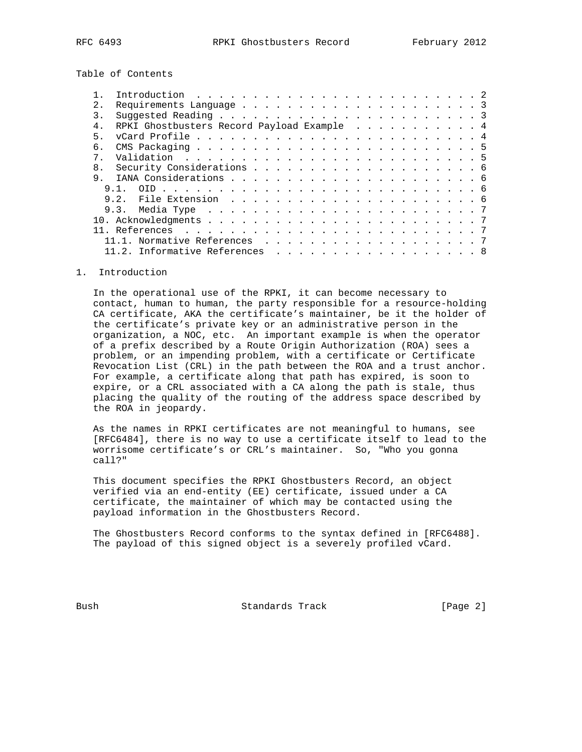Table of Contents

| $2^{\circ}$ |                                            |  |
|-------------|--------------------------------------------|--|
| 3.          |                                            |  |
| $4$ .       | RPKI Ghostbusters Record Payload Example 4 |  |
| 5.          |                                            |  |
| б.          |                                            |  |
| $7^{\circ}$ |                                            |  |
| 8.          |                                            |  |
|             |                                            |  |
|             |                                            |  |
|             |                                            |  |
|             |                                            |  |
|             |                                            |  |
|             |                                            |  |
|             | 11.1. Normative References 7               |  |
|             | 11.2. Informative References 8             |  |

#### 1. Introduction

 In the operational use of the RPKI, it can become necessary to contact, human to human, the party responsible for a resource-holding CA certificate, AKA the certificate's maintainer, be it the holder of the certificate's private key or an administrative person in the organization, a NOC, etc. An important example is when the operator of a prefix described by a Route Origin Authorization (ROA) sees a problem, or an impending problem, with a certificate or Certificate Revocation List (CRL) in the path between the ROA and a trust anchor. For example, a certificate along that path has expired, is soon to expire, or a CRL associated with a CA along the path is stale, thus placing the quality of the routing of the address space described by the ROA in jeopardy.

 As the names in RPKI certificates are not meaningful to humans, see [RFC6484], there is no way to use a certificate itself to lead to the worrisome certificate's or CRL's maintainer. So, "Who you gonna call?"

 This document specifies the RPKI Ghostbusters Record, an object verified via an end-entity (EE) certificate, issued under a CA certificate, the maintainer of which may be contacted using the payload information in the Ghostbusters Record.

 The Ghostbusters Record conforms to the syntax defined in [RFC6488]. The payload of this signed object is a severely profiled vCard.

Bush Standards Track [Page 2]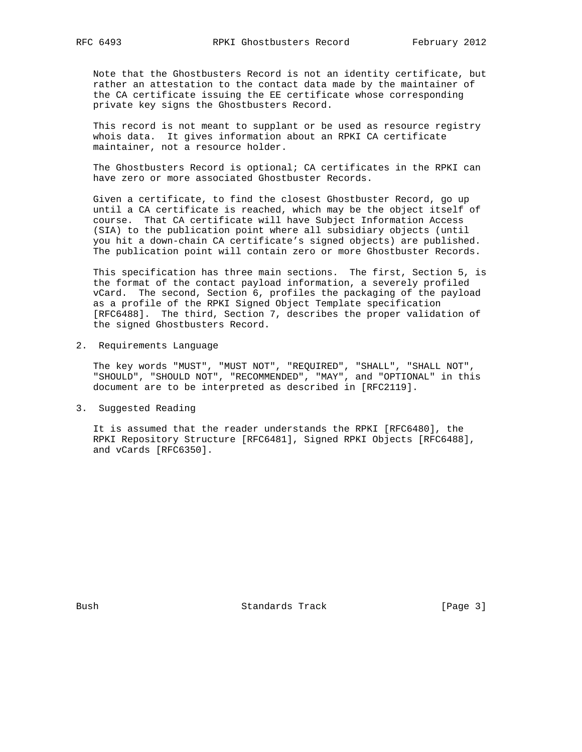Note that the Ghostbusters Record is not an identity certificate, but rather an attestation to the contact data made by the maintainer of the CA certificate issuing the EE certificate whose corresponding private key signs the Ghostbusters Record.

 This record is not meant to supplant or be used as resource registry whois data. It gives information about an RPKI CA certificate maintainer, not a resource holder.

 The Ghostbusters Record is optional; CA certificates in the RPKI can have zero or more associated Ghostbuster Records.

 Given a certificate, to find the closest Ghostbuster Record, go up until a CA certificate is reached, which may be the object itself of course. That CA certificate will have Subject Information Access (SIA) to the publication point where all subsidiary objects (until you hit a down-chain CA certificate's signed objects) are published. The publication point will contain zero or more Ghostbuster Records.

 This specification has three main sections. The first, Section 5, is the format of the contact payload information, a severely profiled vCard. The second, Section 6, profiles the packaging of the payload as a profile of the RPKI Signed Object Template specification [RFC6488]. The third, Section 7, describes the proper validation of the signed Ghostbusters Record.

2. Requirements Language

 The key words "MUST", "MUST NOT", "REQUIRED", "SHALL", "SHALL NOT", "SHOULD", "SHOULD NOT", "RECOMMENDED", "MAY", and "OPTIONAL" in this document are to be interpreted as described in [RFC2119].

3. Suggested Reading

 It is assumed that the reader understands the RPKI [RFC6480], the RPKI Repository Structure [RFC6481], Signed RPKI Objects [RFC6488], and vCards [RFC6350].

Bush Bush Standards Track [Page 3]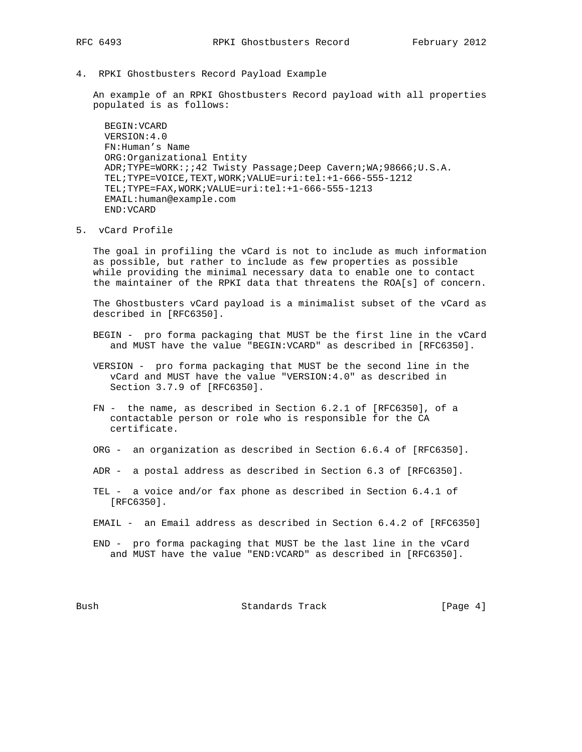- 
- 4. RPKI Ghostbusters Record Payload Example

 An example of an RPKI Ghostbusters Record payload with all properties populated is as follows:

 BEGIN:VCARD VERSION:4.0 FN:Human's Name ORG:Organizational Entity ADR;TYPE=WORK:;;42 Twisty Passage;Deep Cavern;WA;98666;U.S.A. TEL;TYPE=VOICE,TEXT,WORK;VALUE=uri:tel:+1-666-555-1212 TEL;TYPE=FAX,WORK;VALUE=uri:tel:+1-666-555-1213 EMAIL:human@example.com END:VCARD

5. vCard Profile

 The goal in profiling the vCard is not to include as much information as possible, but rather to include as few properties as possible while providing the minimal necessary data to enable one to contact the maintainer of the RPKI data that threatens the ROA[s] of concern.

 The Ghostbusters vCard payload is a minimalist subset of the vCard as described in [RFC6350].

- BEGIN pro forma packaging that MUST be the first line in the vCard and MUST have the value "BEGIN:VCARD" as described in [RFC6350].
- VERSION pro forma packaging that MUST be the second line in the vCard and MUST have the value "VERSION:4.0" as described in Section 3.7.9 of [RFC6350].
- FN the name, as described in Section 6.2.1 of [RFC6350], of a contactable person or role who is responsible for the CA certificate.
- ORG an organization as described in Section 6.6.4 of [RFC6350].
- ADR a postal address as described in Section 6.3 of [RFC6350].
- TEL a voice and/or fax phone as described in Section 6.4.1 of [RFC6350].
- EMAIL an Email address as described in Section 6.4.2 of [RFC6350]
- END pro forma packaging that MUST be the last line in the vCard and MUST have the value "END:VCARD" as described in [RFC6350].

Bush Bush Standards Track [Page 4]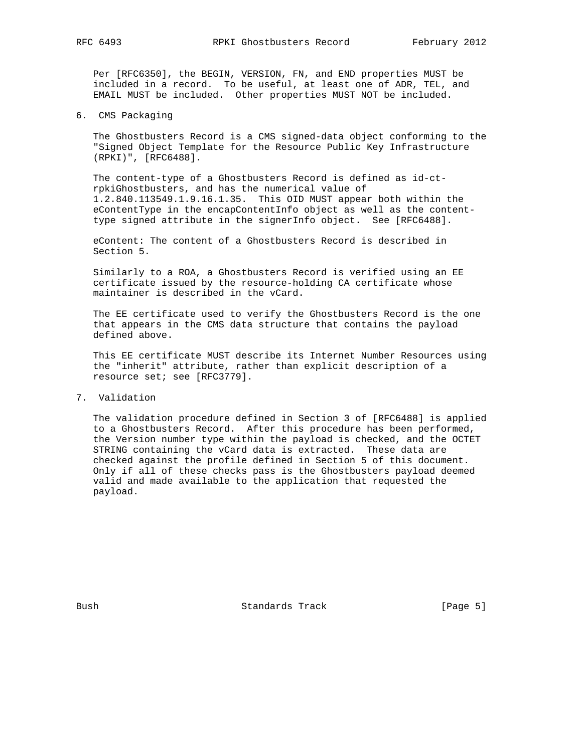Per [RFC6350], the BEGIN, VERSION, FN, and END properties MUST be included in a record. To be useful, at least one of ADR, TEL, and EMAIL MUST be included. Other properties MUST NOT be included.

6. CMS Packaging

 The Ghostbusters Record is a CMS signed-data object conforming to the "Signed Object Template for the Resource Public Key Infrastructure (RPKI)", [RFC6488].

 The content-type of a Ghostbusters Record is defined as id-ct rpkiGhostbusters, and has the numerical value of 1.2.840.113549.1.9.16.1.35. This OID MUST appear both within the eContentType in the encapContentInfo object as well as the content type signed attribute in the signerInfo object. See [RFC6488].

 eContent: The content of a Ghostbusters Record is described in Section 5.

 Similarly to a ROA, a Ghostbusters Record is verified using an EE certificate issued by the resource-holding CA certificate whose maintainer is described in the vCard.

 The EE certificate used to verify the Ghostbusters Record is the one that appears in the CMS data structure that contains the payload defined above.

 This EE certificate MUST describe its Internet Number Resources using the "inherit" attribute, rather than explicit description of a resource set; see [RFC3779].

7. Validation

 The validation procedure defined in Section 3 of [RFC6488] is applied to a Ghostbusters Record. After this procedure has been performed, the Version number type within the payload is checked, and the OCTET STRING containing the vCard data is extracted. These data are checked against the profile defined in Section 5 of this document. Only if all of these checks pass is the Ghostbusters payload deemed valid and made available to the application that requested the payload.

Bush Standards Track [Page 5]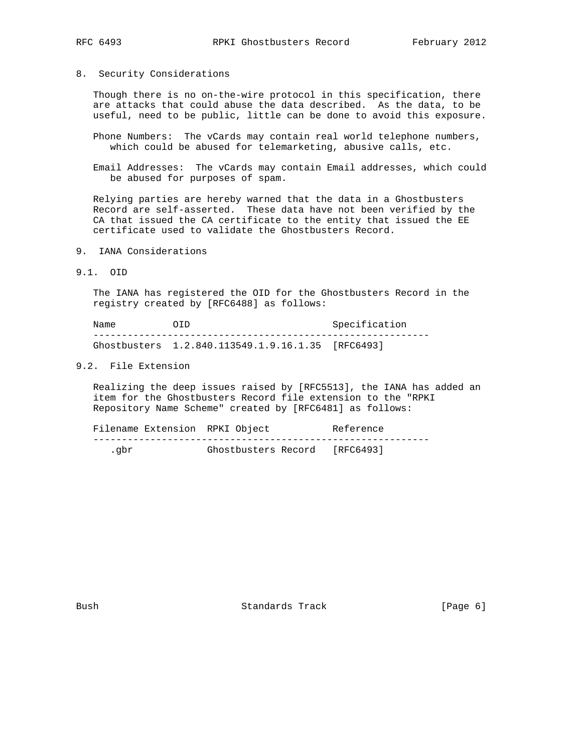8. Security Considerations

 Though there is no on-the-wire protocol in this specification, there are attacks that could abuse the data described. As the data, to be useful, need to be public, little can be done to avoid this exposure.

- Phone Numbers: The vCards may contain real world telephone numbers, which could be abused for telemarketing, abusive calls, etc.
- Email Addresses: The vCards may contain Email addresses, which could be abused for purposes of spam.

 Relying parties are hereby warned that the data in a Ghostbusters Record are self-asserted. These data have not been verified by the CA that issued the CA certificate to the entity that issued the EE certificate used to validate the Ghostbusters Record.

- 9. IANA Considerations
- 9.1. OID

 The IANA has registered the OID for the Ghostbusters Record in the registry created by [RFC6488] as follows:

Name OID OID Specification ----------------------------------------------------------- Ghostbusters 1.2.840.113549.1.9.16.1.35 [RFC6493]

# 9.2. File Extension

 Realizing the deep issues raised by [RFC5513], the IANA has added an item for the Ghostbusters Record file extension to the "RPKI Repository Name Scheme" created by [RFC6481] as follows:

|       | Filename Extension RPKI Object |  | Reference                     |  |
|-------|--------------------------------|--|-------------------------------|--|
|       |                                |  |                               |  |
| . abr |                                |  | Ghostbusters Record [RFC6493] |  |

Bush Standards Track [Page 6]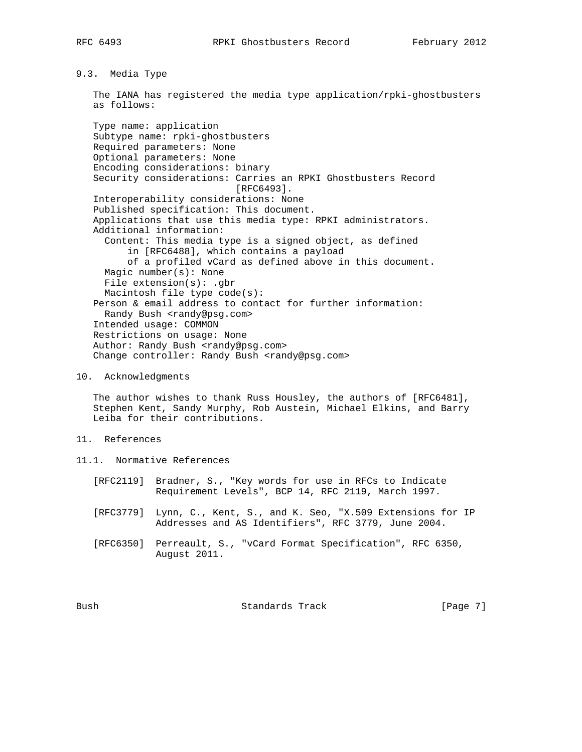9.3. Media Type

 The IANA has registered the media type application/rpki-ghostbusters as follows:

 Type name: application Subtype name: rpki-ghostbusters Required parameters: None Optional parameters: None Encoding considerations: binary Security considerations: Carries an RPKI Ghostbusters Record [RFC6493]. Interoperability considerations: None Published specification: This document. Applications that use this media type: RPKI administrators. Additional information: Content: This media type is a signed object, as defined in [RFC6488], which contains a payload of a profiled vCard as defined above in this document. Magic number(s): None File extension(s): .gbr Macintosh file type code(s): Person & email address to contact for further information: Randy Bush <randy@psg.com> Intended usage: COMMON Restrictions on usage: None Author: Randy Bush <randy@psg.com> Change controller: Randy Bush <randy@psg.com>

## 10. Acknowledgments

 The author wishes to thank Russ Housley, the authors of [RFC6481], Stephen Kent, Sandy Murphy, Rob Austein, Michael Elkins, and Barry Leiba for their contributions.

- 11. References
- 11.1. Normative References
	- [RFC2119] Bradner, S., "Key words for use in RFCs to Indicate Requirement Levels", BCP 14, RFC 2119, March 1997.
	- [RFC3779] Lynn, C., Kent, S., and K. Seo, "X.509 Extensions for IP Addresses and AS Identifiers", RFC 3779, June 2004.
	- [RFC6350] Perreault, S., "vCard Format Specification", RFC 6350, August 2011.

Bush Standards Track [Page 7]